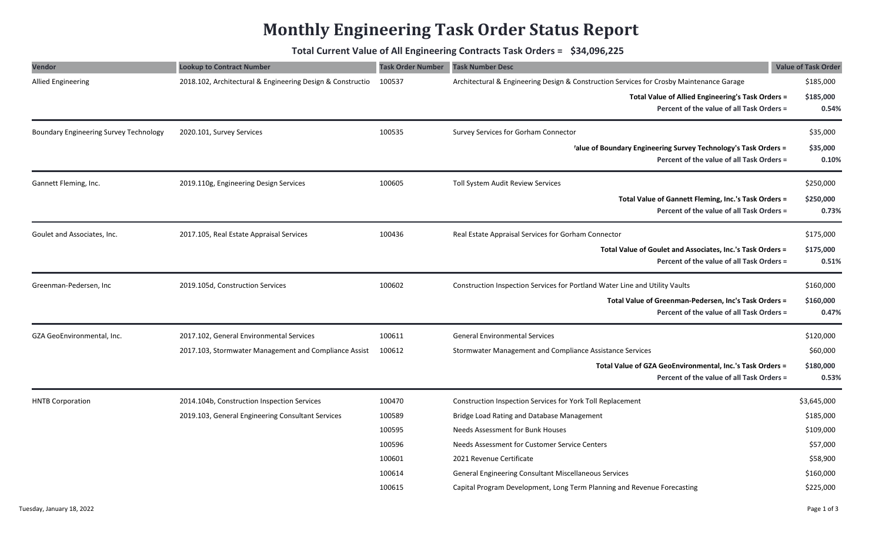## **Monthly Engineering Task Order Status Report**

**Total Current Value of All Engineering Contracts Task Orders = \$34,096,225**

| <b>Vendor</b>                                 | <b>Lookup to Contract Number</b>                           | <b>Task Order Number</b> | <b>Task Number Desc</b>                                                                                      | <b>Value of Task Order</b> |
|-----------------------------------------------|------------------------------------------------------------|--------------------------|--------------------------------------------------------------------------------------------------------------|----------------------------|
| <b>Allied Engineering</b>                     | 2018.102, Architectural & Engineering Design & Constructio | 100537                   | Architectural & Engineering Design & Construction Services for Crosby Maintenance Garage                     | \$185,000                  |
|                                               |                                                            |                          | Total Value of Allied Engineering's Task Orders =<br>Percent of the value of all Task Orders =               | \$185,000<br>0.54%         |
| <b>Boundary Engineering Survey Technology</b> | 2020.101, Survey Services                                  | 100535                   | Survey Services for Gorham Connector                                                                         | \$35,000                   |
|                                               |                                                            |                          | 'alue of Boundary Engineering Survey Technology's Task Orders =<br>Percent of the value of all Task Orders = | \$35,000<br>0.10%          |
| Gannett Fleming, Inc.                         | 2019.110g, Engineering Design Services                     | 100605                   | Toll System Audit Review Services                                                                            | \$250,000                  |
|                                               |                                                            |                          | Total Value of Gannett Fleming, Inc.'s Task Orders =<br>Percent of the value of all Task Orders =            | \$250,000<br>0.73%         |
| Goulet and Associates, Inc.                   | 2017.105, Real Estate Appraisal Services                   | 100436                   | Real Estate Appraisal Services for Gorham Connector                                                          | \$175,000                  |
|                                               |                                                            |                          | Total Value of Goulet and Associates, Inc.'s Task Orders =<br>Percent of the value of all Task Orders =      | \$175,000<br>0.51%         |
| Greenman-Pedersen, Inc                        | 2019.105d, Construction Services                           | 100602                   | Construction Inspection Services for Portland Water Line and Utility Vaults                                  | \$160,000                  |
|                                               |                                                            |                          | Total Value of Greenman-Pedersen, Inc's Task Orders =<br>Percent of the value of all Task Orders =           | \$160,000<br>0.47%         |
| GZA GeoEnvironmental, Inc.                    | 2017.102, General Environmental Services                   | 100611                   | <b>General Environmental Services</b>                                                                        | \$120,000                  |
|                                               | 2017.103, Stormwater Management and Compliance Assist      | 100612                   | Stormwater Management and Compliance Assistance Services                                                     | \$60,000                   |
|                                               |                                                            |                          | Total Value of GZA GeoEnvironmental, Inc.'s Task Orders =<br>Percent of the value of all Task Orders =       | \$180,000<br>0.53%         |
| <b>HNTB Corporation</b>                       | 2014.104b, Construction Inspection Services                | 100470                   | Construction Inspection Services for York Toll Replacement                                                   | \$3,645,000                |
|                                               | 2019.103, General Engineering Consultant Services          | 100589                   | Bridge Load Rating and Database Management                                                                   | \$185,000                  |
|                                               |                                                            | 100595                   | <b>Needs Assessment for Bunk Houses</b>                                                                      | \$109,000                  |
|                                               |                                                            | 100596                   | Needs Assessment for Customer Service Centers                                                                | \$57,000                   |
|                                               |                                                            | 100601                   | 2021 Revenue Certificate                                                                                     | \$58,900                   |
|                                               |                                                            | 100614                   | General Engineering Consultant Miscellaneous Services                                                        | \$160,000                  |
|                                               |                                                            | 100615                   | Capital Program Development, Long Term Planning and Revenue Forecasting                                      | \$225,000                  |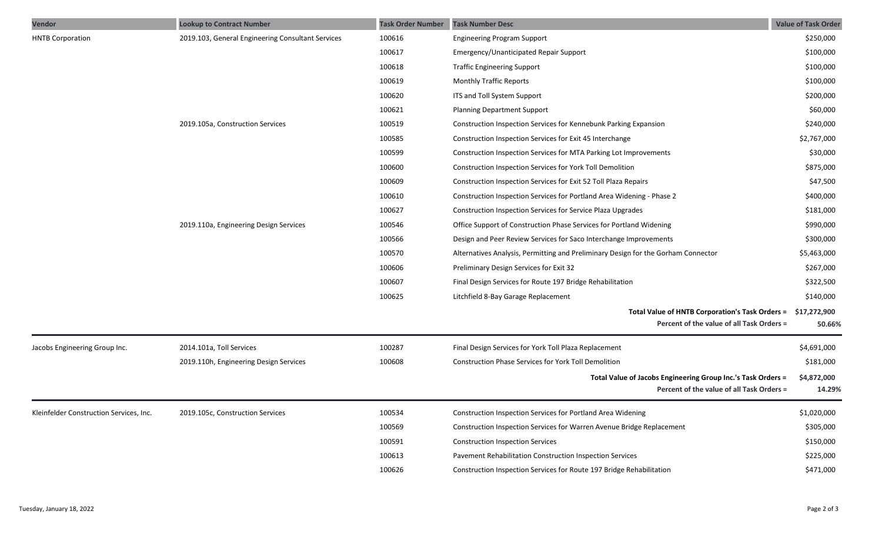| Vendor                                  | <b>Lookup to Contract Number</b>                  | <b>Task Order Number</b> | <b>Task Number Desc</b>                                                                                   | <b>Value of Task Order</b> |
|-----------------------------------------|---------------------------------------------------|--------------------------|-----------------------------------------------------------------------------------------------------------|----------------------------|
| <b>HNTB Corporation</b>                 | 2019.103, General Engineering Consultant Services | 100616                   | <b>Engineering Program Support</b>                                                                        | \$250,000                  |
|                                         |                                                   | 100617                   | Emergency/Unanticipated Repair Support                                                                    | \$100,000                  |
|                                         |                                                   | 100618                   | <b>Traffic Engineering Support</b>                                                                        | \$100,000                  |
|                                         |                                                   | 100619                   | <b>Monthly Traffic Reports</b>                                                                            | \$100,000                  |
|                                         |                                                   | 100620                   | ITS and Toll System Support                                                                               | \$200,000                  |
|                                         |                                                   | 100621                   | <b>Planning Department Support</b>                                                                        | \$60,000                   |
|                                         | 2019.105a, Construction Services                  | 100519                   | Construction Inspection Services for Kennebunk Parking Expansion                                          | \$240,000                  |
|                                         |                                                   | 100585                   | Construction Inspection Services for Exit 45 Interchange                                                  | \$2,767,000                |
|                                         |                                                   | 100599                   | Construction Inspection Services for MTA Parking Lot Improvements                                         | \$30,000                   |
|                                         |                                                   | 100600                   | Construction Inspection Services for York Toll Demolition                                                 | \$875,000                  |
|                                         |                                                   | 100609                   | Construction Inspection Services for Exit 52 Toll Plaza Repairs                                           | \$47,500                   |
|                                         |                                                   | 100610                   | Construction Inspection Services for Portland Area Widening - Phase 2                                     | \$400,000                  |
|                                         |                                                   | 100627                   | Construction Inspection Services for Service Plaza Upgrades                                               | \$181,000                  |
|                                         | 2019.110a, Engineering Design Services            | 100546                   | Office Support of Construction Phase Services for Portland Widening                                       | \$990,000                  |
|                                         |                                                   | 100566                   | Design and Peer Review Services for Saco Interchange Improvements                                         | \$300,000                  |
|                                         |                                                   | 100570                   | Alternatives Analysis, Permitting and Preliminary Design for the Gorham Connector                         | \$5,463,000                |
|                                         |                                                   | 100606                   | Preliminary Design Services for Exit 32                                                                   | \$267,000                  |
|                                         |                                                   | 100607                   | Final Design Services for Route 197 Bridge Rehabilitation                                                 | \$322,500                  |
|                                         |                                                   | 100625                   | Litchfield 8-Bay Garage Replacement                                                                       | \$140,000                  |
|                                         |                                                   |                          | Total Value of HNTB Corporation's Task Orders = \$17,272,900<br>Percent of the value of all Task Orders = | 50.66%                     |
| Jacobs Engineering Group Inc.           | 2014.101a, Toll Services                          | 100287                   | Final Design Services for York Toll Plaza Replacement                                                     | \$4,691,000                |
|                                         | 2019.110h, Engineering Design Services            | 100608                   | <b>Construction Phase Services for York Toll Demolition</b>                                               | \$181,000                  |
|                                         |                                                   |                          | Total Value of Jacobs Engineering Group Inc.'s Task Orders =<br>Percent of the value of all Task Orders = | \$4,872,000<br>14.29%      |
| Kleinfelder Construction Services, Inc. | 2019.105c, Construction Services                  | 100534                   | Construction Inspection Services for Portland Area Widening                                               | \$1,020,000                |
|                                         |                                                   | 100569                   | Construction Inspection Services for Warren Avenue Bridge Replacement                                     | \$305,000                  |
|                                         |                                                   | 100591                   | <b>Construction Inspection Services</b>                                                                   | \$150,000                  |
|                                         |                                                   | 100613                   | Pavement Rehabilitation Construction Inspection Services                                                  | \$225,000                  |
|                                         |                                                   | 100626                   | Construction Inspection Services for Route 197 Bridge Rehabilitation                                      | \$471,000                  |